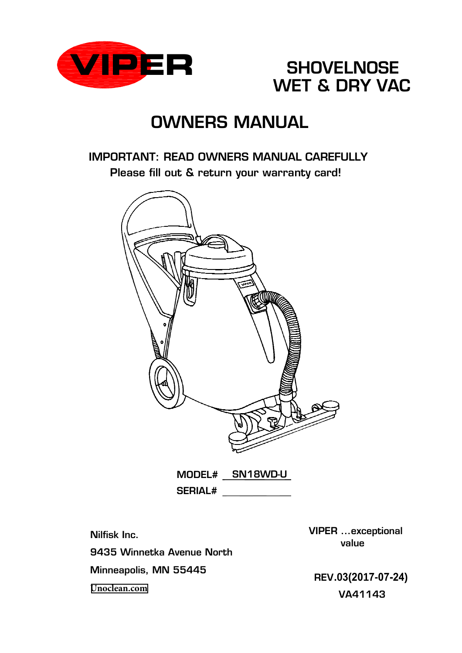



# OWNERS MANUAL

## IMPORTANT: READ OWNERS MANUAL CAREFULLY Please fill out & return your warranty card!



MODEL# SN18WD-U SERIAL#

Nilfisk Inc. 9435 Winnetka Avenue North Minneapolis, MN 55445 **[Unoclean.com](https://www.unoclean.com/)**

VIPER ...exceptional value

**.03(2017-07-24)** REV VA41143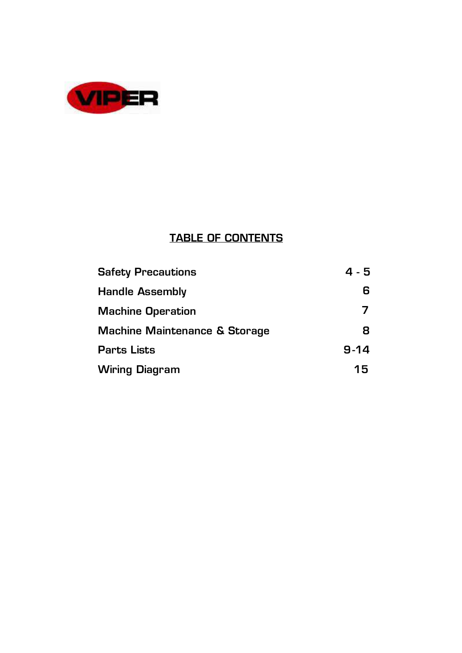

## **TABLE OF CONTENTS**

| <b>Safety Precautions</b>                | 4 - 5    |
|------------------------------------------|----------|
| <b>Handle Assembly</b>                   | 6        |
| <b>Machine Operation</b>                 |          |
| <b>Machine Maintenance &amp; Storage</b> | 8        |
| <b>Parts Lists</b>                       | $9 - 14$ |
| <b>Wiring Diagram</b>                    | 15       |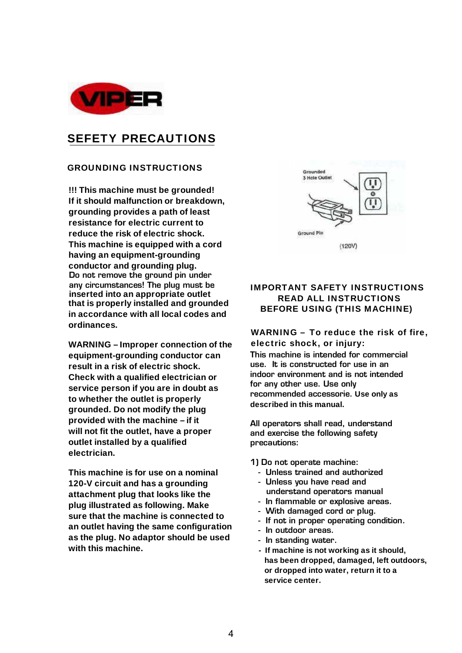

## **SEFETY PRECAUTIONS**

#### **GROUNDING INSTRUCTIONS**

**ordinances. in accordance with all local codes and that is properly installed and grounded inserted into an appropriate outlet**  any circumstances! The plug must be  $\,$ **conductor and grounding plug. !!! This machine must be grounded!**  Do not remove the ground pin under **If it should malfunction or breakdown, grounding provides a path of least resistance for electric current to reduce the risk of electric shock. This machine is equipped with a cord having an equipment-grounding SEFETY PRECAUTIONS**<br> **SERETY PRECAUTIONS**<br> **IThis machine must be grounded**<br> **If the could mallmention or breakdown,**<br> **grounding provides a pair of less cause in the could mallmention or breakdown,**<br> **realistance for el** 

**WARNING – Improper connection of the equipment-grounding conductor can result in a risk of electric shock. Check with a qualified electrician or service person if you are in doubt as to whether the outlet is properly grounded. Do not modify the plug provided with the machine – if it will not fit the outlet, have a proper outlet installed by a qualified electrician.**

**This machine is for use on a nominal 120-V circuit and has a grounding attachment plug that looks like the plug illustrated as following. Make sure that the machine is connected to an outlet having the same configuration as the plug. No adaptor should be used with this machine.**



#### **BEFORE USING (THIS MACHINE) IMPORTANT SAFETY INSTRUCTIONS READ ALL INSTRUCTIONS**

#### **WARNING – To reduce the risk of fire, electric shock, or injury:**

recommended accessorie. Use only as This machine is intended for commercial use. It is constructed for use in an indoor environment and is not intended for any other use. Use only **described in this manual.**

All operators shall read, understand and exercise the following safety precautions:

1) Do not operate machine:

- Unless trained and authorized
- Unless you have read and understand operators manual
- In flammable or explosive areas.
- With damaged cord or plug.
- If not in proper operating condition.
- In outdoor areas.
- In standing water.
- **If machine is not working as it should, has been dropped, damaged, left outdoors, service center.**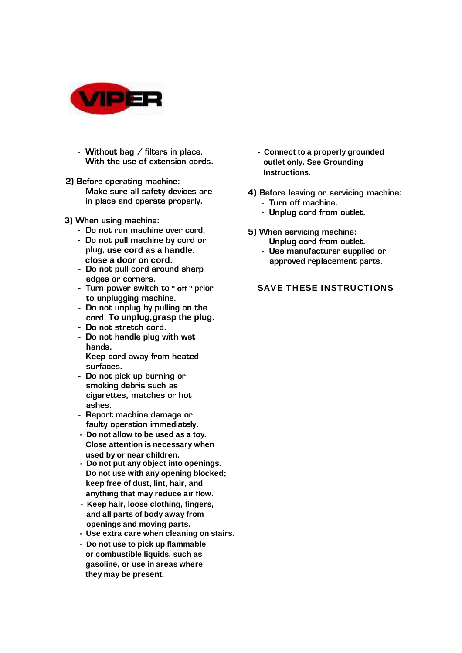

- Without bag / filters in place.
- With the use of extension cords.
- 2) Before operating machine:
	- - Make sure all safety devices are in place and operate properly.
- 3) When using machine:
	- Do not run machine over cord.
	- plug, use cord as a handle, **close a door on cord.** - Do not pull machine by cord or
	- Do not pull cord around sharp edges or corners.
	- Turn power switch to " off " prior to unplugging machine.
	- cord. To unplug, grasp the plug. - Do not unplug by pulling on the
	- Do not stretch cord.
	- Do not handle plug with wet hands.
	- surfaces. - Keep cord away from heated
	- י<br>-- Do not pick up burning or smoking debris such as cigarettes, matches or hot ashes.
	- asnes.<br>- Report machine damage or neport machine damage or<br>faulty operation immediately.
	- **Do not allow to be used as a toy. Close attention is necessary when used by or near children.**
	- **Do not put any object into openings. Do not use with any opening blocked; keep free of dust, lint, hair, and anything that may reduce air flow.**
	- **Keep hair, loose clothing, fingers, and all parts of body away from openings and moving parts.**
	- **Use extra care when cleaning on stairs.**
	- **Do not use to pick up flammable or combustible liquids, such as gasoline, or use in areas where they may be present.**
- **Connect to a properly grounded outlet only. See Grounding Instructions.**
- 4) Before leaving or servicing machine: - Turn off machine.
	- Unplug cord from outlet.
- 5) When servicing machine:
	- Unplug cord from outlet.
	- Use manufacturer supplied or approved replacement parts.

#### $\cdot$   $\cdot$   $\sim$   $-$ **SAVE THESE INSTRUCTIONS**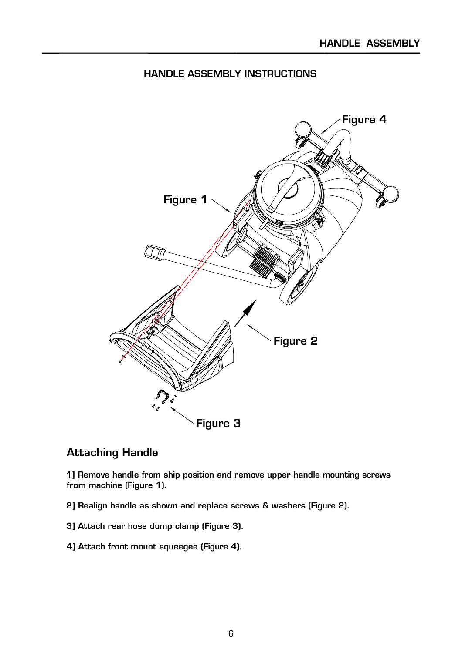### HANDLE ASSEMBLY INSTRUCTIONS



### Attaching Handle

1] Remove handle from ship position and remove upper handle mounting screws from machine (Figure 1).

2] Realign handle as shown and replace screws & washers (Figure 2).

- 3] Attach rear hose dump clamp (Figure 3).
- 4] Attach front mount squeegee (Figure 4).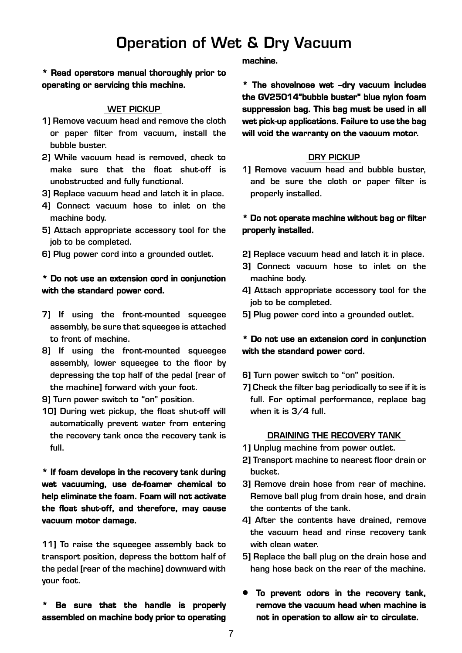## Operation of Wet & Dry Vacuum

**\* Read operators manual thoroughly prior to operating or servicing this machine.** 

#### WET PICKUP

- 1] Remove vacuum head and remove the cloth or paper filter from vacuum, install the bubble buster.
- 2] While vacuum head is removed, check to make sure that the float shut-off is unobstructed and fully functional.
- 3] Replace vacuum head and latch it in place.
- 4] Connect vacuum hose to inlet on the machine body.
- 5] Attach appropriate accessory tool for the job to be completed.
- 6] Plug power cord into a grounded outlet.

#### **\* Do not use an extension cord in conjunction with the standard power cord.**

- 7] If using the front-mounted squeegee assembly, be sure that squeegee is attached to front of machine.
- 8] If using the front-mounted squeegee assembly, lower squeegee to the floor by depressing the top half of the pedal [rear of the machine] forward with your foot.
- 9] Turn power switch to "on" position.
- 10] During wet pickup, the float shut-off will automatically prevent water from entering the recovery tank once the recovery tank is full.

**\* If foam develops in the recovery tank during wet vacuuming, use de-foamer chemical to help eliminate the foam. Foam will not activate the float shut-off, and therefore, may cause vacuum motor damage.** 

11] To raise the squeegee assembly back to transport position, depress the bottom half of the pedal [rear of the machine] downward with your foot.

**\* Be sure that the handle is properly assembled on machine body prior to operating** 

**machine.** 

**\* The shovelnose wet –dry vacuum includes the GV25014"bubble buster" blue nylon foam suppression bag. This bag must be used in all wet pick-up applications. Failure to use the bag will void the warranty on the vacuum motor.** 

#### DRY PICKUP

1] Remove vacuum head and bubble buster, and be sure the cloth or paper filter is properly installed.

#### **\* Do not operate machine without bag or filter properly installed.**

- 2] Replace vacuum head and latch it in place.
- 3] Connect vacuum hose to inlet on the machine body.
- 4] Attach appropriate accessory tool for the job to be completed.
- 5] Plug power cord into a grounded outlet.

#### **\* Do not use an extension cord in conjunction with the standard power cord.**

- 6] Turn power switch to "on" position.
- 7] Check the filter bag periodically to see if it is full. For optimal performance, replace bag when it is 3/4 full.

#### DRAINING THE RECOVERY TANK

- 1] Unplug machine from power outlet.
- 2] Transport machine to nearest floor drain or bucket.
- 3] Remove drain hose from rear of machine. Remove ball plug from drain hose, and drain the contents of the tank.
- 4] After the contents have drained, remove the vacuum head and rinse recovery tank with clean water.
- 5] Replace the ball plug on the drain hose and hang hose back on the rear of the machine.
- **To prevent odors in the recovery tank, remove the vacuum head when machine is not in operation to allow air to circulate.**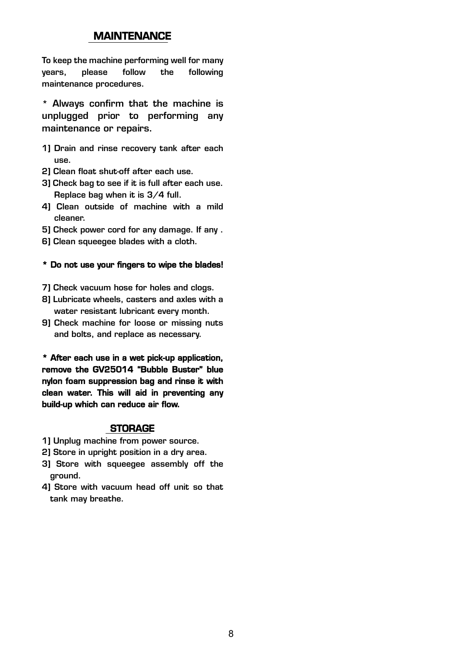#### **MAINTENANCE**

To keep the machine performing well for many years, please follow the following maintenance procedures.

\* Always confirm that the machine is unplugged prior to performing any maintenance or repairs.

- 1] Drain and rinse recovery tank after each use.
- 2] Clean float shut-off after each use.
- 3] Check bag to see if it is full after each use. Replace bag when it is 3/4 full.
- 4] Clean outside of machine with a mild cleaner.
- 5] Check power cord for any damage. If any .
- 6] Clean squeegee blades with a cloth.

#### **\* Do not use your fingers to wipe the blades!**

- 7] Check vacuum hose for holes and clogs.
- 8] Lubricate wheels, casters and axles with a water resistant lubricant every month.
- 9] Check machine for loose or missing nuts and bolts, and replace as necessary.

**\* After each use in a wet pick-up application, remove the GV25014 "Bubble Buster" blue nylon foam suppression bag and rinse it with clean water. This will aid in preventing any build-up which can reduce air flow.** 

#### **STORAGE**

- 1] Unplug machine from power source.
- 2] Store in upright position in a dry area.
- 3] Store with squeegee assembly off the ground.
- 4] Store with vacuum head off unit so that tank may breathe.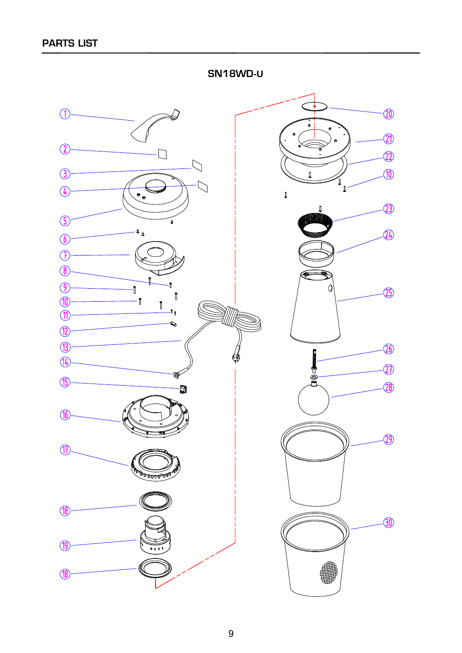↴ 20  $\bigcirc$  $\widehat{\mathbf{C}}$  $\Omega$  $\sqcup$ 22  $\overline{\mathcal{L}}$  $\left($  $\textcolor{red}{\widehat{10}}$  $\mathbf{0}$  $\bigcirc$  $\sqrt{4}$  $\overline{\phantom{a}}$  $\begin{array}{c} \end{array}$  $\hat{23}$  $\sqrt{5}$ 'n  $\mathfrak{a}$  $\widehat{24}$  $\sqrt{6}$  $\mathcal{F}$  $\circled{6}$  $\circled{9}$  $\Omega$ -Î  $\circled{25}$ ĵ  $\circledR$ - i  $^\dagger$ € .<br>I 1  $\circled{1}$ C)  $\mathbf{R}$  $\circled{1}$  $\overline{26}$ ĺ  $\sqrt{4}$  $\widehat{\bm{\mathcal{D}}}$ ∯<br>C<br>C ð  $\circled{f}$  $\overline{28}$ đ  $\mathcal{F}$  $\circled{2}$  $\circled{1}$ **OUTHFIELD**  $\left( \mathbf{\mathcal{B}}\right)$  $-30$  $\left( 19\right)$  $\cdots$  $\sqrt{6}$ 

SN18WD **-U**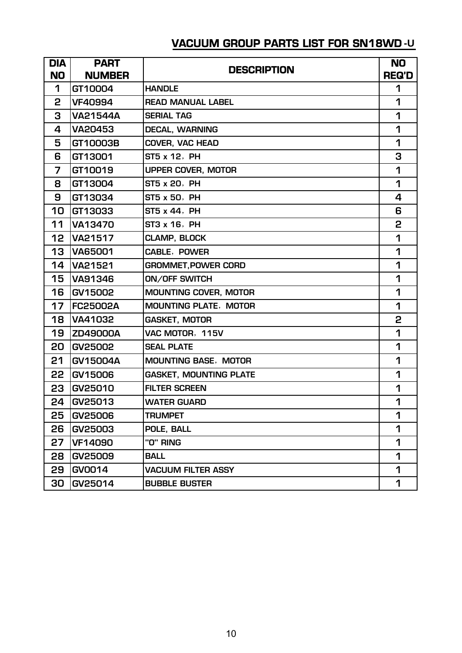## **VACUUM GROUP PARTS LIST FOR SN18WD -U**

| <b>DIA</b>     | <b>PART</b>     | <b>DESCRIPTION</b>            | <b>NO</b>    |
|----------------|-----------------|-------------------------------|--------------|
| <b>NO</b>      | <b>NUMBER</b>   |                               | <b>REQ'D</b> |
| 1              | GT10004         | <b>HANDLE</b>                 | 1            |
| 2              | <b>VF40994</b>  | <b>READ MANUAL LABEL</b>      | 1            |
| 3              | <b>VA21544A</b> | <b>SERIAL TAG</b>             | 1            |
| 4              | <b>VA20453</b>  | <b>DECAL, WARNING</b>         | 1            |
| 5              | GT10003B        | <b>COVER, VAC HEAD</b>        | 1            |
| 6              | GT13001         | ST5 x 12, PH                  | 3            |
| $\overline{7}$ | GT10019         | UPPER COVER, MOTOR            | 1            |
| 8              | GT13004         | ST5 x 20, PH                  | 1            |
| 9              | GT13034         | ST5 x 50, PH                  | 4            |
| 10             | GT13033         | ST5 x 44, PH                  | 6            |
| 11             | <b>VA13470</b>  | ST3 x 16, PH                  | 2            |
| 12             | VA21517         | <b>CLAMP, BLOCK</b>           | 1            |
| 13             | <b>VA65001</b>  | <b>CABLE, POWER</b>           | 1            |
| 14             | VA21521         | <b>GROMMET, POWER CORD</b>    | 1            |
| 15             | VA91346         | <b>ON/OFF SWITCH</b>          | 1            |
| 16             | GV15002         | <b>MOUNTING COVER, MOTOR</b>  | 1            |
| 17             | <b>FC25002A</b> | <b>MOUNTING PLATE, MOTOR</b>  | 1            |
| 18             | <b>VA41032</b>  | <b>GASKET, MOTOR</b>          | 2            |
| 19             | <b>ZD49000A</b> | VAC MOTOR, 115V               | 1            |
| 20             | <b>GV25002</b>  | <b>SEAL PLATE</b>             | 1            |
| 21             | GV15004A        | <b>MOUNTING BASE, MOTOR</b>   | 1            |
| 22             | GV15006         | <b>GASKET, MOUNTING PLATE</b> | 1            |
| 23             | GV25010         | <b>FILTER SCREEN</b>          | 1            |
| 24             | GV25013         | <b>WATER GUARD</b>            | 1            |
| 25             | GV25006         | <b>TRUMPET</b>                | 1            |
| 26             | GV25003         | POLE, BALL                    | 1            |
| 27             | <b>VF14090</b>  | "O" RING                      | 1            |
| 28             | GV25009         | <b>BALL</b>                   | 1            |
| 29             | GV0014          | <b>VACUUM FILTER ASSY</b>     | 1            |
| 30             | GV25014         | <b>BUBBLE BUSTER</b>          | 1            |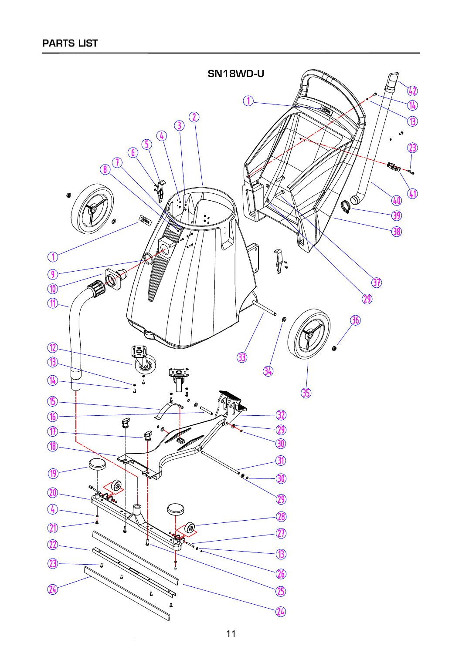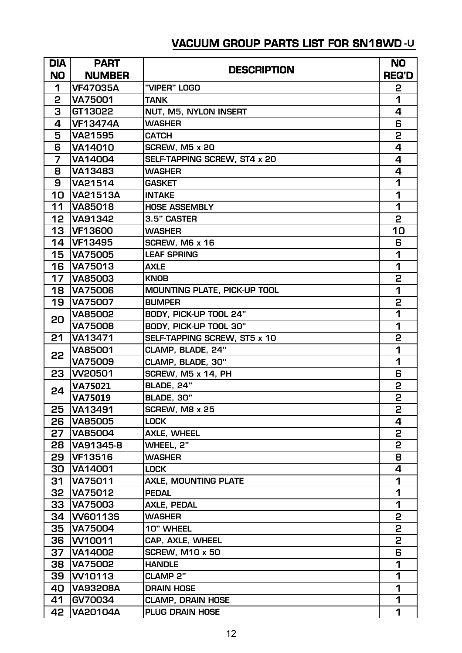## **VACUUM GROUP PARTS LIST FOR SN18WD -U**

| <b>DIA</b> | <b>PART</b>                      |                                     | <b>NO</b>    |
|------------|----------------------------------|-------------------------------------|--------------|
| <b>NO</b>  | <b>NUMBER</b>                    | <b>DESCRIPTION</b>                  | <b>REQ'D</b> |
| 1          | <b>VF47035A</b>                  | "VIPER" LOGO                        | 2            |
| 2          | <b>VA75001</b>                   | <b>TANK</b>                         | 1            |
| 3          | GT13022                          | NUT, M5, NYLON INSERT               | 4            |
| 4          | <b>VF13474A</b>                  | <b>WASHER</b>                       | 6            |
| 5          | <b>VA21595</b>                   | <b>CATCH</b>                        | 2            |
| 6          | VA14010                          | SCREW, M5 x 20                      | 4            |
| 7          | VA14004                          | SELF-TAPPING SCREW, ST4 x 20        | 4            |
| 8          | VA13483                          | <b>WASHER</b>                       | 4            |
| 9          | <b>VA21514</b>                   | <b>GASKET</b>                       | 1            |
| 10         | <b>VA21513A</b>                  | <b>INTAKE</b>                       | 1            |
| 11         | <b>VA85018</b>                   | <b>HOSE ASSEMBLY</b>                | 1            |
| 12         | <b>VA91342</b>                   | 3.5" CASTER                         | 2            |
| 13         | <b>VF13600</b>                   | <b>WASHER</b>                       | 10           |
| 14         | <b>VF13495</b>                   | SCREW, M6 x 16                      | 6            |
| 15         | <b>VA75005</b>                   | <b>LEAF SPRING</b>                  | 1            |
| 16         | VA75013                          | <b>AXLE</b>                         | 1            |
| 17         | <b>VA85003</b>                   | <b>KNOB</b>                         | 2            |
| 18         | <b>VA75006</b>                   | <b>MOUNTING PLATE, PICK-UP TOOL</b> | 1            |
| 19         | <b>VA75007</b>                   | <b>BUMPER</b>                       | 2            |
| 20         | <b>VA85002</b>                   | BODY, PICK-UP TOOL 24"              | 1            |
|            | <b>VA75008</b>                   | BODY, PICK-UP TOOL 30"              | 1            |
| 21         | VA13471                          | SELF-TAPPING SCREW, ST5 x 10        | 2            |
| 22         | <b>VA85001</b>                   | CLAMP, BLADE, 24"                   | 1            |
|            | <b>VA75009</b>                   | CLAMP, BLADE, 30"                   | 1            |
| 23         | <b>W20501</b>                    | SCREW, M5 x 14, PH                  | 6            |
| 24         | VA75021                          | BLADE, 24"                          | 2            |
|            | VA75019                          | BLADE, 30"                          | 2            |
| 25         | <b>VA13491</b>                   | SCREW, M8 x 25                      | 2            |
| 26         | <b>VA85005</b>                   | <b>LOCK</b>                         | 4            |
| 27         | <b>VA85004</b>                   | <b>AXLE, WHEEL</b>                  | 2            |
| 28         | VA91345-8                        | WHEEL, 2"                           | 2            |
| 29         | <b>VF13516</b>                   | <b>WASHER</b>                       | 8            |
| 30         | VA14001                          | <b>LOCK</b>                         | 4            |
| 31         | VA75011                          | <b>AXLE, MOUNTING PLATE</b>         | 1            |
| 32         | <b>VA75012</b><br><b>VA75003</b> | <b>PEDAL</b>                        | 1            |
| 33         |                                  | <b>AXLE, PEDAL</b>                  | 1            |
| 34         | <b>W60113S</b><br>VA75004        | <b>WASHER</b>                       | 2            |
| 35         |                                  | 10" WHEEL                           | 2            |
| 36         | W10011                           | CAP, AXLE, WHEEL                    | 2<br>6       |
| 37         | VA14002                          | <b>SCREW, M10 x 50</b>              |              |
| 38         | <b>VA75002</b>                   | <b>HANDLE</b>                       | 1<br>1       |
| 39         | W10113                           | <b>CLAMP 2"</b>                     | 1            |
| 40         | <b>VA93208A</b>                  | <b>DRAIN HOSE</b>                   | 1            |
| 41         | GV70034                          | <b>CLAMP, DRAIN HOSE</b>            |              |
| 42         | <b>VA20104A</b>                  | <b>PLUG DRAIN HOSE</b>              | 1            |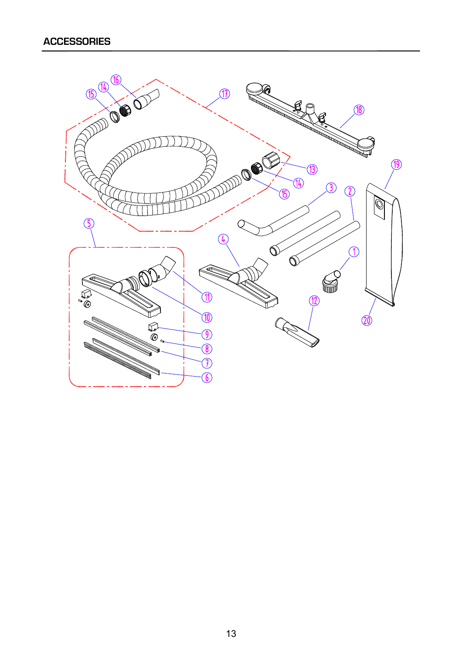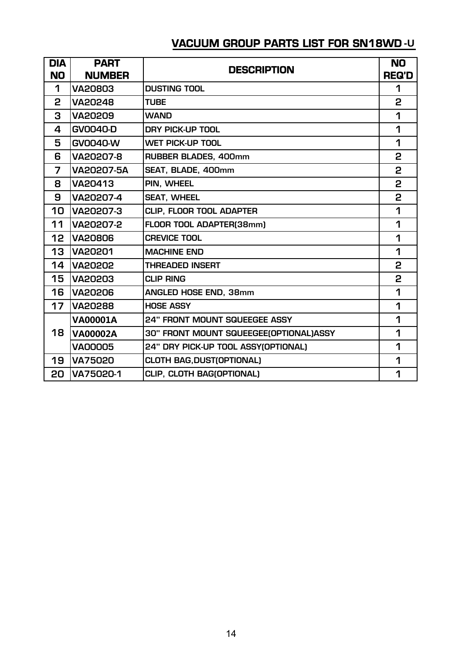## **VACUUM GROUP PARTS LIST FOR SN18WD -U**

| <b>DIA</b> | <b>PART</b>     | <b>DESCRIPTION</b>                     | <b>NO</b>    |
|------------|-----------------|----------------------------------------|--------------|
| <b>NO</b>  | <b>NUMBER</b>   |                                        | <b>REQ'D</b> |
| 1          | <b>VA20803</b>  | <b>DUSTING TOOL</b>                    | 1            |
| 2          | <b>VA20248</b>  | <b>TUBE</b>                            | 2            |
| 3          | <b>VA20209</b>  | <b>WAND</b>                            | 1            |
| 4          | <b>GV0040-D</b> | DRY PICK-UP TOOL                       | 1            |
| 5          | <b>GV0040-W</b> | <b>WET PICK-UP TOOL</b>                | 1            |
| 6          | VA20207-8       | <b>RUBBER BLADES, 400mm</b>            | 2            |
| 7          | VA20207-5A      | SEAT, BLADE, 400mm                     | 2            |
| 8          | VA20413         | PIN, WHEEL                             | 2            |
| 9          | VA20207-4       | <b>SEAT, WHEEL</b>                     | 2            |
| 10         | VA20207-3       | CLIP, FLOOR TOOL ADAPTER               | 1            |
| 11         | VA20207-2       | FLOOR TOOL ADAPTER(38mm)               | 1            |
| 12         | <b>VA20806</b>  | <b>CREVICE TOOL</b>                    | 1            |
| 13         | <b>VA20201</b>  | <b>MACHINE END</b>                     | 1            |
| 14         | <b>VA20202</b>  | <b>THREADED INSERT</b>                 | 2            |
| 15         | <b>VA20203</b>  | <b>CLIP RING</b>                       | 2            |
| 16         | <b>VA20206</b>  | ANGLED HOSE END, 38mm                  | 1            |
| 17         | <b>VA20288</b>  | <b>HOSE ASSY</b>                       | 1            |
|            | <b>VA00001A</b> | <b>24" FRONT MOUNT SQUEEGEE ASSY</b>   | 1            |
| 18         | <b>VA00002A</b> | 30" FRONT MOUNT SQUEEGEE(OPTIONAL)ASSY | 1            |
|            | <b>VA00005</b>  | 24" DRY PICK-UP TOOL ASSY(OPTIONAL)    | 1            |
| 19         | <b>VA75020</b>  | <b>CLOTH BAG, DUST(OPTIONAL)</b>       | 1            |
| 20         | VA75020-1       | CLIP, CLOTH BAG(OPTIONAL)              | 1            |